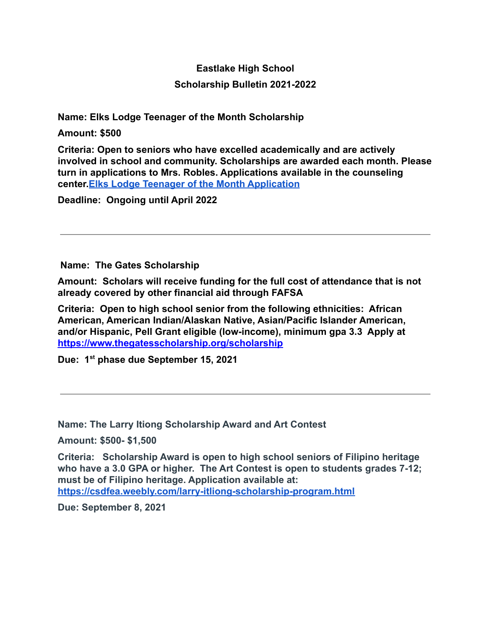# **Eastlake High School Scholarship Bulletin 2021-2022**

**Name: Elks Lodge Teenager of the Month Scholarship**

**Amount: \$500**

**Criteria: Open to seniors who have excelled academically and are actively involved in school and community. Scholarships are awarded each month. Please turn in applications to Mrs. Robles. Applications available in the counseling center.[Elks Lodge Teenager of the Month Application](https://drive.google.com/file/d/15s6hkp6XnVnuW2GMMii36zimQ8BW0TfQ/view?usp=sharing)**

**Deadline: Ongoing until April 2022**

**Name: The Gates Scholarship**

**Amount: Scholars will receive funding for the full cost of attendance that is not already covered by other financial aid through FAFSA**

**Criteria: Open to high school senior from the following ethnicities: African American, American Indian/Alaskan Native, Asian/Pacific Islander American, and/or Hispanic, Pell Grant eligible (low-income), minimum gpa 3.3 Apply at <https://www.thegatesscholarship.org/scholarship>**

**Due: 1st phase due September 15, 2021**

**Name: The Larry Itiong Scholarship Award and Art Contest**

**Amount: \$500- \$1,500**

**Criteria: Scholarship Award is open to high school seniors of Filipino heritage who have a 3.0 GPA or higher. The Art Contest is open to students grades 7-12; must be of Filipino heritage. Application available at: <https://csdfea.weebly.com/larry-itliong-scholarship-program.html>**

**Due: September 8, 2021**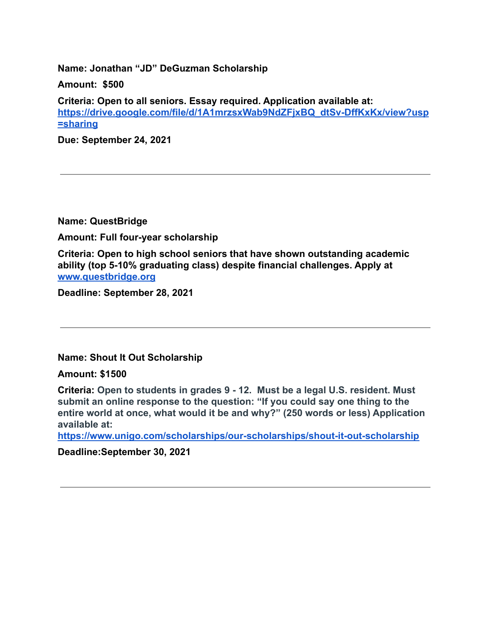**Name: Jonathan "JD" DeGuzman Scholarship**

**Amount: \$500**

**Criteria: Open to all seniors. Essay required. Application available at: [https://drive.google.com/file/d/1A1mrzsxWab9NdZFjxBQ\\_dtSv-DffKxKx/view?usp](https://drive.google.com/file/d/1A1mrzsxWab9NdZFjxBQ_dtSv-DffKxKx/view?usp=sharing) [=sharing](https://drive.google.com/file/d/1A1mrzsxWab9NdZFjxBQ_dtSv-DffKxKx/view?usp=sharing)**

**Due: September 24, 2021**

**Name: QuestBridge**

**Amount: Full four-year scholarship**

**Criteria: Open to high school seniors that have shown outstanding academic ability (top 5-10% graduating class) despite financial challenges. Apply at [www.questbridge.org](http://www.questbridge.org)**

**Deadline: September 28, 2021**

**Name: Shout It Out Scholarship**

**Amount: \$1500**

**Criteria: Open to students in grades 9 - 12. Must be a legal U.S. resident. Must submit an online response to the question: "If you could say one thing to the entire world at once, what would it be and why?" (250 words or less) Application available at:**

**<https://www.unigo.com/scholarships/our-scholarships/shout-it-out-scholarship>**

**Deadline:September 30, 2021**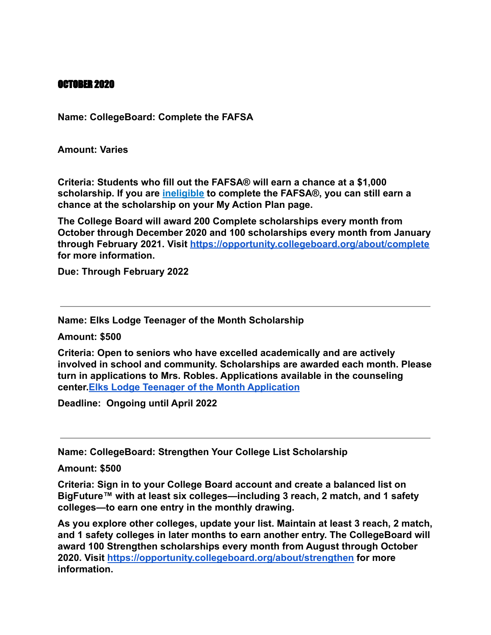#### OCTOBER 2020

**Name: CollegeBoard: Complete the FAFSA**

**Amount: Varies**

**Criteria: Students who fill out the FAFSA® will earn a chance at a \$1,000 scholarship. If you are [ineligible](https://studentaid.ed.gov/sa/help/federal-student-aid-eligibility) to complete the FAFSA®, you can still earn a chance at the scholarship on your My Action Plan page.**

**The College Board will award 200 Complete scholarships every month from October through December 2020 and 100 scholarships every month from January through February 2021. Visit <https://opportunity.collegeboard.org/about/complete> for more information.**

**Due: Through February 2022**

**Name: Elks Lodge Teenager of the Month Scholarship**

**Amount: \$500**

**Criteria: Open to seniors who have excelled academically and are actively involved in school and community. Scholarships are awarded each month. Please turn in applications to Mrs. Robles. Applications available in the counseling center.[Elks Lodge Teenager of the Month Application](https://drive.google.com/file/d/15s6hkp6XnVnuW2GMMii36zimQ8BW0TfQ/view?usp=sharing)**

**Deadline: Ongoing until April 2022**

**Name: CollegeBoard: Strengthen Your College List Scholarship**

**Amount: \$500**

**Criteria: Sign in to your College Board account and create a balanced list on BigFuture™ with at least six colleges—including 3 reach, 2 match, and 1 safety colleges—to earn one entry in the monthly drawing.**

**As you explore other colleges, update your list. Maintain at least 3 reach, 2 match, and 1 safety colleges in later months to earn another entry. The CollegeBoard will award 100 Strengthen scholarships every month from August through October 2020. Visit <https://opportunity.collegeboard.org/about/strengthen> for more information.**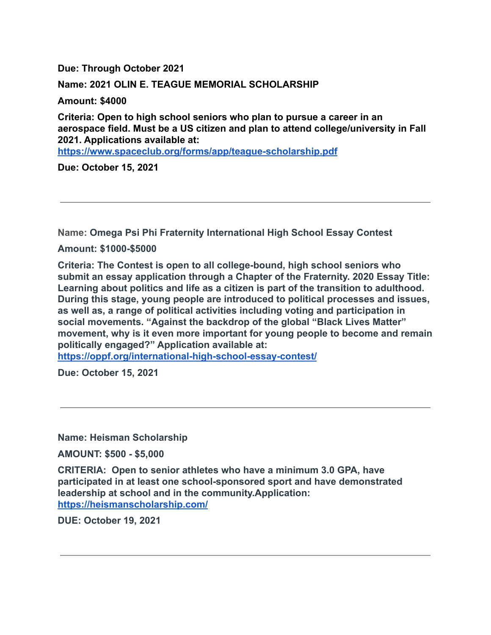**Due: Through October 2021**

### **Name: 2021 OLIN E. TEAGUE MEMORIAL SCHOLARSHIP**

**Amount: \$4000**

**Criteria: Open to high school seniors who plan to pursue a career in an aerospace field. Must be a US citizen and plan to attend college/university in Fall 2021. Applications available at:**

**<https://www.spaceclub.org/forms/app/teague-scholarship.pdf>**

**Due: October 15, 2021**

**Name: Omega Psi Phi Fraternity International High School Essay Contest**

**Amount: \$1000-\$5000**

**Criteria: The Contest is open to all college-bound, high school seniors who submit an essay application through a Chapter of the Fraternity. 2020 Essay Title: Learning about politics and life as a citizen is part of the transition to adulthood. During this stage, young people are introduced to political processes and issues, as well as, a range of political activities including voting and participation in social movements. "Against the backdrop of the global "Black Lives Matter" movement, why is it even more important for young people to become and remain politically engaged?" Application available at:**

**<https://oppf.org/international-high-school-essay-contest/>**

**Due: October 15, 2021**

**Name: Heisman Scholarship**

**AMOUNT: \$500 - \$5,000**

**CRITERIA: Open to senior athletes who have a minimum 3.0 GPA, have participated in at least one school-sponsored sport and have demonstrated leadership at school and in the community.Application[:](https://heismanscholarship.com/) <https://heismanscholarship.com/>**

**DUE: October 19, 2021**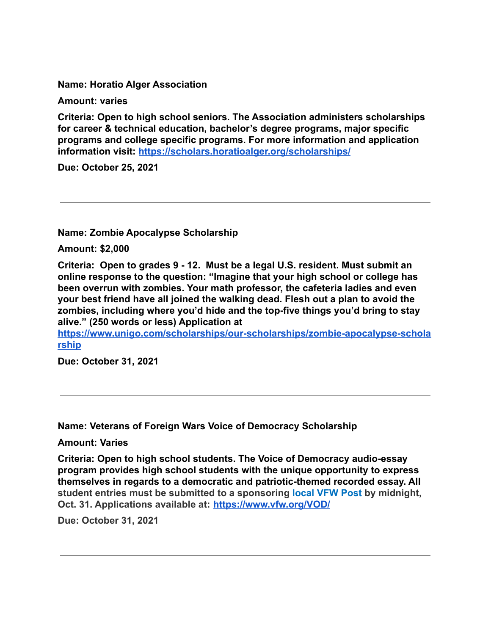**Name: Horatio Alger Association**

**Amount: varies**

**Criteria: Open to high school seniors. The Association administers scholarships for career & technical education, bachelor's degree programs, major specific programs and college specific programs. For more information and application information visit: <https://scholars.horatioalger.org/scholarships/>**

**Due: October 25, 2021**

**Name: Zombie Apocalypse Scholarship**

**Amount: \$2,000**

**Criteria: Open to grades 9 - 12. Must be a legal U.S. resident. Must submit an online response to the question: "Imagine that your high school or college has been overrun with zombies. Your math professor, the cafeteria ladies and even your best friend have all joined the walking dead. Flesh out a plan to avoid the zombies, including where you'd hide and the top-five things you'd bring to stay alive." (250 words or less) Application at**

**[https://www.unigo.com/scholarships/our-scholarships/zombie-apocalypse-schola](https://www.unigo.com/scholarships/our-scholarships/zombie-apocalypse-scholarship) [rship](https://www.unigo.com/scholarships/our-scholarships/zombie-apocalypse-scholarship)**

**Due: October 31, 2021**

**Name: Veterans of Foreign Wars Voice of Democracy Scholarship**

**Amount: Varies**

**Criteria: Open to high school students. The Voice of Democracy audio-essay program provides high school students with the unique opportunity to express themselves in regards to a democratic and patriotic-themed recorded essay. All student entries must be submitted to a sponsoring [local VFW Post](https://www.vfw.org/find-a-post) by midnight, Oct. 31. Applications available at: <https://www.vfw.org/VOD/>**

**Due: October 31, 2021**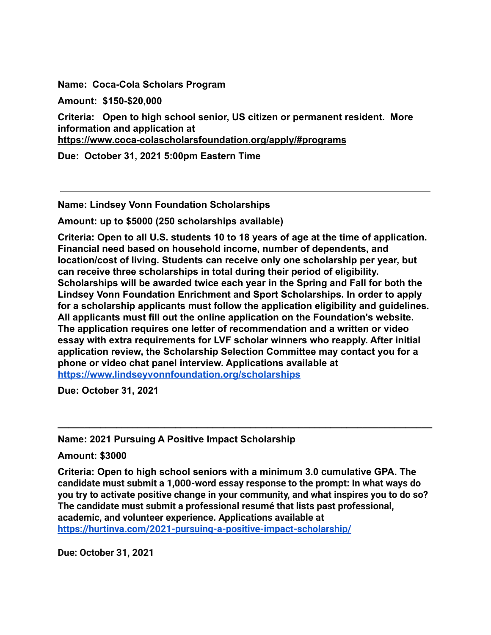**Name: Coca-Cola Scholars Program**

**Amount: \$150-\$20,000**

**Criteria: Open to high school senior, US citizen or permanent resident. More information and application at**

**<https://www.coca-colascholarsfoundation.org/apply/#programs>**

**Due: October 31, 2021 5:00pm Eastern Time**

**Name: Lindsey Vonn Foundation Scholarships**

**Amount: up to \$5000 (250 scholarships available)**

**Criteria: Open to all U.S. students 10 to 18 years of age at the time of application. Financial need based on household income, number of dependents, and location/cost of living. Students can receive only one scholarship per year, but can receive three scholarships in total during their period of eligibility. Scholarships will be awarded twice each year in the Spring and Fall for both the Lindsey Vonn Foundation Enrichment and Sport Scholarships. In order to apply for a scholarship applicants must follow the application eligibility and guidelines. All applicants must fill out the online application on the Foundation's website. The application requires one letter of recommendation and a written or video essay with extra requirements for LVF scholar winners who reapply. After initial application review, the Scholarship Selection Committee may contact you for a phone or video chat panel interview. Applications available at <https://www.lindseyvonnfoundation.org/scholarships>**

**Due: October 31, 2021**

**Name: 2021 Pursuing A Positive Impact Scholarship**

**Amount: \$3000**

**Criteria: Open to high school seniors with a minimum 3.0 cumulative GPA. The candidate must submit a 1,000-word essay response to the prompt: In what ways do you try to activate positive change in your community, and what inspires you to do so? The candidate must submit a professional resumé that lists past professional, academic, and volunteer experience. Applications available at <https://hurtinva.com/2021-pursuing-a-positive-impact-scholarship/>**

**\_\_\_\_\_\_\_\_\_\_\_\_\_\_\_\_\_\_\_\_\_\_\_\_\_\_\_\_\_\_\_\_\_\_\_\_\_\_\_\_\_\_\_\_\_\_\_\_\_\_\_\_\_\_\_\_\_\_\_\_\_\_\_\_\_\_\_\_\_\_**

**Due: October 31, 2021**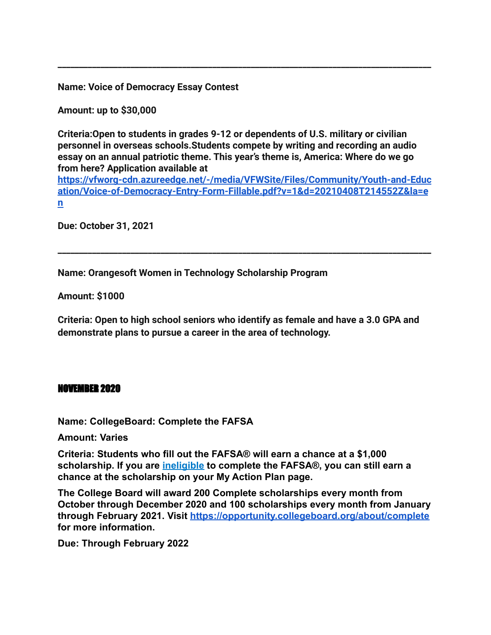**Name: Voice of Democracy Essay Contest**

**Amount: up to \$30,000**

**Criteria:Open to students in grades 9-12 or dependents of U.S. military or civilian personnel in overseas schools.Students compete by writing and recording an audio essay on an annual patriotic theme. This year's theme is, America: Where do we go from here? Application available at**

**\_\_\_\_\_\_\_\_\_\_\_\_\_\_\_\_\_\_\_\_\_\_\_\_\_\_\_\_\_\_\_\_\_\_\_\_\_\_\_\_\_\_\_\_\_\_\_\_\_\_\_\_\_\_\_\_\_\_\_\_\_\_\_\_\_\_\_\_\_\_\_\_\_\_\_\_\_\_\_\_\_\_\_\_\_\_\_**

**[https://vfworg-cdn.azureedge.net/-/media/VFWSite/Files/Community/Youth-and-Educ](https://vfworg-cdn.azureedge.net/-/media/VFWSite/Files/Community/Youth-and-Education/Voice-of-Democracy-Entry-Form-Fillable.pdf?v=1&d=20210408T214552Z&la=en) [ation/Voice-of-Democracy-Entry-Form-Fillable.pdf?v=1&d=20210408T214552Z&la=e](https://vfworg-cdn.azureedge.net/-/media/VFWSite/Files/Community/Youth-and-Education/Voice-of-Democracy-Entry-Form-Fillable.pdf?v=1&d=20210408T214552Z&la=en) [n](https://vfworg-cdn.azureedge.net/-/media/VFWSite/Files/Community/Youth-and-Education/Voice-of-Democracy-Entry-Form-Fillable.pdf?v=1&d=20210408T214552Z&la=en)**

**\_\_\_\_\_\_\_\_\_\_\_\_\_\_\_\_\_\_\_\_\_\_\_\_\_\_\_\_\_\_\_\_\_\_\_\_\_\_\_\_\_\_\_\_\_\_\_\_\_\_\_\_\_\_\_\_\_\_\_\_\_\_\_\_\_\_\_\_\_\_\_\_\_\_\_\_\_\_\_\_\_\_\_\_\_\_\_**

**Due: October 31, 2021**

**Name: Orangesoft Women in Technology Scholarship Program**

**Amount: \$1000**

**Criteria: Open to high school seniors who identify as female and have a 3.0 GPA and demonstrate plans to pursue a career in the area of technology. echnology.ion.**

#### NOVEMBER 2020

**Name: CollegeBoard: Complete the FAFSA**

**Amount: Varies**

**Criteria: Students who fill out the FAFSA® will earn a chance at a \$1,000 scholarship. If you are [ineligible](https://studentaid.ed.gov/sa/help/federal-student-aid-eligibility) to complete the FAFSA®, you can still earn a chance at the scholarship on your My Action Plan page.**

**The College Board will award 200 Complete scholarships every month from October through December 2020 and 100 scholarships every month from January through February 2021. Visit <https://opportunity.collegeboard.org/about/complete> for more information.**

**Due: Through February 2022**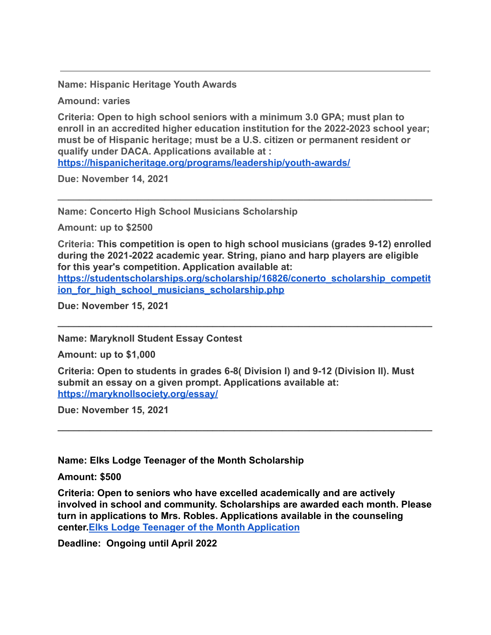**Name: Hispanic Heritage Youth Awards**

**Amound: varies**

**Criteria: Open to high school seniors with a minimum 3.0 GPA; must plan to enroll in an accredited higher education institution for the 2022-2023 school year; must be of Hispanic heritage; must be a U.S. citizen or permanent resident or qualify under DACA. Applications available at :**

**<https://hispanicheritage.org/programs/leadership/youth-awards/>**

**Due: November 14, 2021**

**Name: Concerto High School Musicians Scholarship**

**Amount: up to \$2500**

**Criteria: This competition is open to high school musicians (grades 9-12) enrolled during the 2021-2022 academic year. String, piano and harp players are eligible for this year's competition. Application available at:**

**\_\_\_\_\_\_\_\_\_\_\_\_\_\_\_\_\_\_\_\_\_\_\_\_\_\_\_\_\_\_\_\_\_\_\_\_\_\_\_\_\_\_\_\_\_\_\_\_\_\_\_\_\_\_\_\_\_\_\_\_\_\_\_\_\_\_\_\_\_\_**

**[https://studentscholarships.org/scholarship/16826/conerto\\_scholarship\\_competit](https://studentscholarships.org/scholarship/16826/conerto_scholarship_competition_for_high_school_musicians_scholarship.php) [ion\\_for\\_high\\_school\\_musicians\\_scholarship.php](https://studentscholarships.org/scholarship/16826/conerto_scholarship_competition_for_high_school_musicians_scholarship.php)**

**\_\_\_\_\_\_\_\_\_\_\_\_\_\_\_\_\_\_\_\_\_\_\_\_\_\_\_\_\_\_\_\_\_\_\_\_\_\_\_\_\_\_\_\_\_\_\_\_\_\_\_\_\_\_\_\_\_\_\_\_\_\_\_\_\_\_\_\_\_\_**

**Due: November 15, 2021**

**Name: Maryknoll Student Essay Contest**

**Amount: up to \$1,000**

**Criteria: Open to students in grades 6-8( Division I) and 9-12 (Division II). Must submit an essay on a given prompt. Applications available at: <https://maryknollsociety.org/essay/>**

**Due: November 15, 2021**

#### **Name: Elks Lodge Teenager of the Month Scholarship**

**Amount: \$500**

**Criteria: Open to seniors who have excelled academically and are actively involved in school and community. Scholarships are awarded each month. Please turn in applications to Mrs. Robles. Applications available in the counseling center.[Elks Lodge Teenager of the Month Application](https://drive.google.com/file/d/15s6hkp6XnVnuW2GMMii36zimQ8BW0TfQ/view?usp=sharing)**

**\_\_\_\_\_\_\_\_\_\_\_\_\_\_\_\_\_\_\_\_\_\_\_\_\_\_\_\_\_\_\_\_\_\_\_\_\_\_\_\_\_\_\_\_\_\_\_\_\_\_\_\_\_\_\_\_\_\_\_\_\_\_\_\_\_\_\_\_\_\_**

**Deadline: Ongoing until April 2022**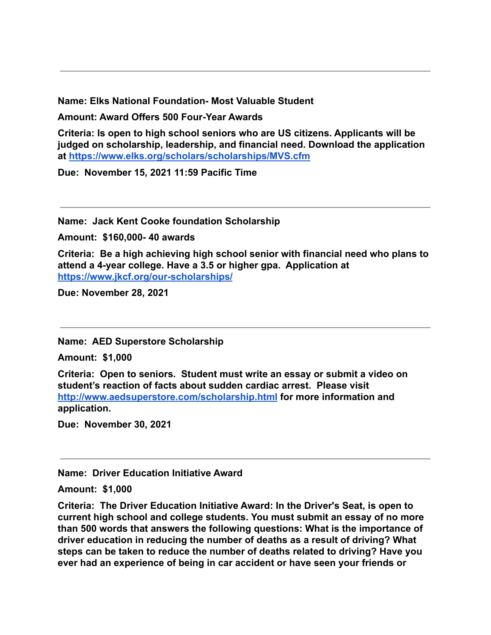**Name: Elks National Foundation- Most Valuable Student**

**Amount: Award Offers 500 Four-Year Awards**

**Criteria: Is open to high school seniors who are US citizens. Applicants will be judged on scholarship, leadership, and financial need. Download the application at <https://www.elks.org/scholars/scholarships/MVS.cfm>**

**Due: November 15, 2021 11:59 Pacific Time**

**Name: Jack Kent Cooke foundation Scholarship**

**Amount: \$160,000- 40 awards**

**Criteria: Be a high achieving high school senior with financial need who plans to attend a 4-year college. Have a 3.5 or higher gpa. Application at <https://www.jkcf.org/our-scholarships/>**

**Due: November 28, 2021**

**Name: AED Superstore Scholarship**

**Amount: \$1,000**

**Criteria: Open to seniors. Student must write an essay or submit a video on student's reaction of facts about sudden cardiac arrest. Please visi[t](http://www.aedsuperstore.com/scholarship.html) <http://www.aedsuperstore.com/scholarship.html> for more information and application.**

**Due: November 30, 2021**

**Name: Driver Education Initiative Award**

**Amount: \$1,000**

**Criteria: The Driver Education Initiative Award: In the Driver's Seat, is open to current high school and college students. You must submit an essay of no more than 500 words that answers the following questions: What is the importance of driver education in reducing the number of deaths as a result of driving? What steps can be taken to reduce the number of deaths related to driving? Have you ever had an experience of being in car accident or have seen your friends or**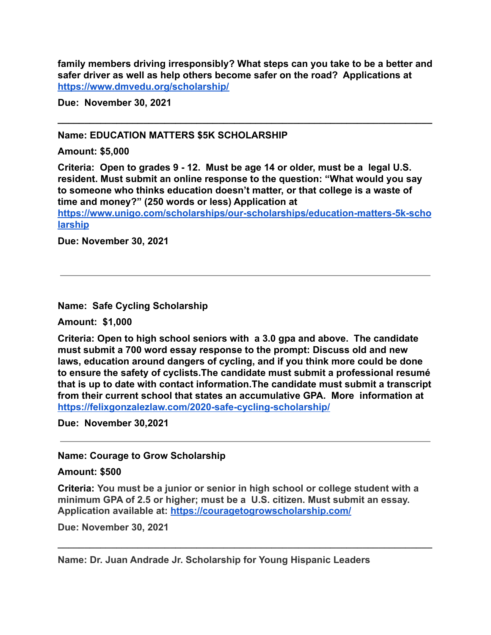**family members driving irresponsibly? What steps can you take to be a better and safer driver as well as help others become safer on the road? Applications at <https://www.dmvedu.org/scholarship/>**

**\_\_\_\_\_\_\_\_\_\_\_\_\_\_\_\_\_\_\_\_\_\_\_\_\_\_\_\_\_\_\_\_\_\_\_\_\_\_\_\_\_\_\_\_\_\_\_\_\_\_\_\_\_\_\_\_\_\_\_\_\_\_\_\_\_\_\_\_\_\_**

**Due: November 30, 2021**

#### **Name: EDUCATION MATTERS \$5K SCHOLARSHIP**

#### **Amount: \$5,000**

**Criteria: Open to grades 9 - 12. Must be age 14 or older, must be a legal U.S. resident. Must submit an online response to the question: "What would you say to someone who thinks education doesn't matter, or [th](https://www.unigo.com/scholarships/our-scholarships/education-matters-5k-scholarship)at college is a waste of time and money?" (250 words or less) Application at**

**[https://www.unigo.com/scholarships/our-scholarships/education-matters-5k-scho](https://www.unigo.com/scholarships/our-scholarships/education-matters-5k-scholarship) [larship](https://www.unigo.com/scholarships/our-scholarships/education-matters-5k-scholarship)**

**Due: November 30, 2021**

**Name: Safe Cycling Scholarship**

**Amount: \$1,000**

**Criteria: Open to high school seniors with a 3.0 gpa and above. The candidate must submit a 700 word essay response to the prompt: Discuss old and new laws, education around dangers of cycling, and if you think more could be done to ensure the safety of cyclists.The candidate must submit a professional resumé that is up to date with contact information.The candidate must submit a transcript from their current school that states an accumulative GPA. More information at <https://felixgonzalezlaw.com/2020-safe-cycling-scholarship/>**

**Due: November 30,2021**

#### **Name: Courage to Grow Scholarship**

#### **Amount: \$500**

**Criteria: You must be a junior or senior in high school or college student with a minimum GPA of 2.5 or higher; must be a U.S. citizen. Must submit an essay. Application available at: <https://couragetogrowscholarship.com/>**

**\_\_\_\_\_\_\_\_\_\_\_\_\_\_\_\_\_\_\_\_\_\_\_\_\_\_\_\_\_\_\_\_\_\_\_\_\_\_\_\_\_\_\_\_\_\_\_\_\_\_\_\_\_\_\_\_\_\_\_\_\_\_\_\_\_\_\_\_\_\_**

**Due: November 30, 2021**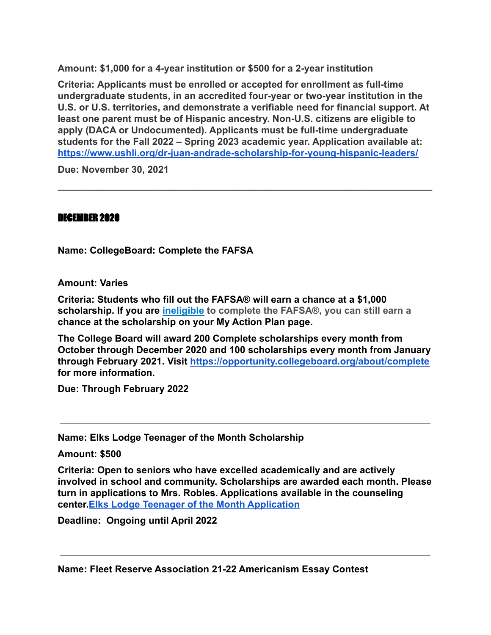**Amount: \$1,000 for a 4-year institution or \$500 for a 2-year institution**

**Criteria: Applicants must be enrolled or accepted for enrollment as full-time undergraduate students, in an accredited four-year or two-year institution in the U.S. or U.S. territories, and demonstrate a verifiable need for financial support. At least one parent must be of Hispanic ancestry. Non-U.S. citizens are eligible to apply (DACA or Undocumented). Applicants must be full-time undergraduate students for the Fall 2022 – Spring 2023 academic year. Application available at: <https://www.ushli.org/dr-juan-andrade-scholarship-for-young-hispanic-leaders/>**

**\_\_\_\_\_\_\_\_\_\_\_\_\_\_\_\_\_\_\_\_\_\_\_\_\_\_\_\_\_\_\_\_\_\_\_\_\_\_\_\_\_\_\_\_\_\_\_\_\_\_\_\_\_\_\_\_\_\_\_\_\_\_\_\_\_\_\_\_\_\_**

**Due: November 30, 2021**

#### DECEMBER 2020

**Name: CollegeBoard: Complete the FAFSA**

**Amount: Varies**

**Criteria: Students who fill out the FAFSA® will earn a chance at a \$1,000 scholarship. If you are [ineligible](https://studentaid.ed.gov/sa/help/federal-student-aid-eligibility) to complete the FAFSA®, you can still earn a chance at the scholarship on your My Action Plan page.**

**The College Board will award 200 Complete scholarships every month from October through December 2020 and 100 scholarships every month from January through February 2021. Visit <https://opportunity.collegeboard.org/about/complete> for more information.**

**Due: Through February 2022**

**Name: Elks Lodge Teenager of the Month Scholarship**

**Amount: \$500**

**Criteria: Open to seniors who have excelled academically and are actively involved in school and community. Scholarships are awarded each month. Please turn in applications to Mrs. Robles. Applications available in the counseling center.[Elks Lodge Teenager of the Month Application](https://drive.google.com/file/d/15s6hkp6XnVnuW2GMMii36zimQ8BW0TfQ/view?usp=sharing)**

**Deadline: Ongoing until April 2022**

**Name: Fleet Reserve Association 21-22 Americanism Essay Contest**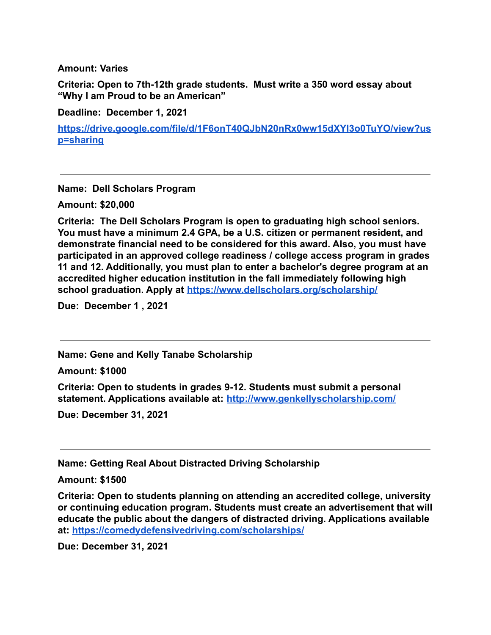**Amount: Varies**

**Criteria: Open to 7th-12th grade students. Must write a 350 word essay about "Why I am Proud to be an American"**

**Deadline: December 1, 2021**

**[https://drive.google.com/file/d/1F6onT40QJbN20nRx0ww15dXYI3o0TuYO/view?us](https://drive.google.com/file/d/1F6onT40QJbN20nRx0ww15dXYI3o0TuYO/view?usp=sharing) [p=sharing](https://drive.google.com/file/d/1F6onT40QJbN20nRx0ww15dXYI3o0TuYO/view?usp=sharing)**

**Name: Dell Scholars Program**

**Amount: \$20,000**

**Criteria: The Dell Scholars Program is open to graduating high school seniors. You must have a minimum 2.4 GPA, be a U.S. citizen or permanent resident, and demonstrate financial need to be considered for this award. Also, you must have participated in an approved college readiness / college access program in grades 11 and 12. Additionally, you must plan to enter a bachelor's degree program at an accredited higher education institution in the fall immediately following high school graduation. Apply at <https://www.dellscholars.org/scholarship/>**

**Due: December 1 , 2021**

**Name: Gene and Kelly Tanabe Scholarship**

**Amount: \$1000**

**Criteria: Open to students in grades 9-12. Students must submit a personal statement. Applications available at: <http://www.genkellyscholarship.com/>**

**Due: December 31, 2021**

**Name: Getting Real About Distracted Driving Scholarship**

**Amount: \$1500**

**Criteria: Open to students planning on attending an accredited college, university or continuing education program. Students must create an advertisement that will educate the public about the dangers of distracted driving. Applications available at: <https://comedydefensivedriving.com/scholarships/>**

**Due: December 31, 2021**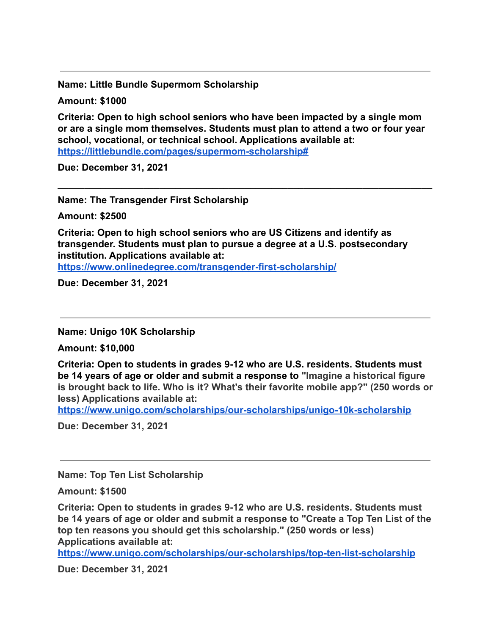**Name: Little Bundle Supermom Scholarship**

**Amount: \$1000**

**Criteria: Open to high school seniors who have been impacted by a single mom or are a single mom themselves. Students must plan to attend a two or four year school, vocational, or technical school. Applications available at: <https://littlebundle.com/pages/supermom-scholarship#>**

**\_\_\_\_\_\_\_\_\_\_\_\_\_\_\_\_\_\_\_\_\_\_\_\_\_\_\_\_\_\_\_\_\_\_\_\_\_\_\_\_\_\_\_\_\_\_\_\_\_\_\_\_\_\_\_\_\_\_\_\_\_\_\_\_\_\_\_\_\_\_**

**Due: December 31, 2021**

**Name: The Transgender First Scholarship**

**Amount: \$2500**

**Criteria: Open to high school seniors who are US Citizens and identify as transgender. Students must plan to pursue a degree at a U.S. postsecondary institution. Applications available at:**

**<https://www.onlinedegree.com/transgender-first-scholarship/>**

**Due: December 31, 2021**

**Name: Unigo 10K Scholarship**

**Amount: \$10,000**

**Criteria: Open to students in grades 9-12 who are U.S. residents. Students must be 14 years of age or older and submit a response to "Imagine a historical figure is brought back to life. Who is it? What's their favorite mobile app?" (250 words or less) Applications available at:**

**<https://www.unigo.com/scholarships/our-scholarships/unigo-10k-scholarship>**

**Due: December 31, 2021**

**Name: Top Ten List Scholarship**

**Amount: \$1500**

**Criteria: Open to students in grades 9-12 who are U.S. residents. Students must be 14 years of age or older and submit a response to "Create a Top Ten List of the top ten reasons you should get this scholarship." (250 words or less) Applications available at:**

**<https://www.unigo.com/scholarships/our-scholarships/top-ten-list-scholarship>**

**Due: December 31, 2021**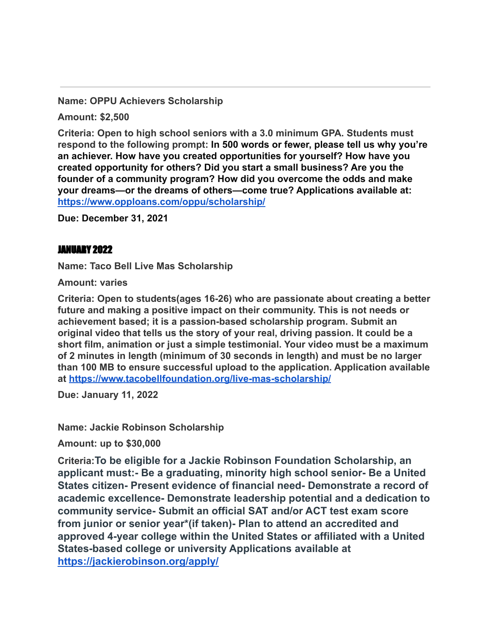**Name: OPPU Achievers Scholarship**

**Amount: \$2,500**

**Criteria: Open to high school seniors with a 3.0 minimum GPA. Students must respond to the following prompt: In 500 words or fewer, please tell us why you're an achiever. How have you created opportunities for yourself? How have you created opportunity for others? Did you start a small business? Are you the founder of a community program? How did you overcome the odds and make your dreams—or the dreams of others—come true? Applications available at: <https://www.opploans.com/oppu/scholarship/>**

**Due: December 31, 2021**

#### JANUARY 2022

**Name: Taco Bell Live Mas Scholarship**

**Amount: varies**

**Criteria: Open to students(ages 16-26) who are passionate about creating a better future and making a positive impact on their community. This is not needs or achievement based; it is a passion-based scholarship program. Submit an original video that tells us the story of your real, driving passion. It could be a short film, animation or just a simple testimonial. Your video must be a maximum of 2 minutes in length (minimum of 30 seconds in length) and must be no larger than 100 MB to ensure successful upload to the application. Application available at <https://www.tacobellfoundation.org/live-mas-scholarship/>**

**Due: January 11, 2022**

**Name: Jackie Robinson Scholarship**

**Amount: up to \$30,000**

**Criteria:To be eligible for a Jackie Robinson Foundation Scholarship, an applicant must:- Be a graduating, minority high school senior- Be a United States citizen- Present evidence of financial need- Demonstrate a record of academic excellence- Demonstrate leadership potential and a dedication to community service- Submit an official SAT and/or ACT test exam score from junior or senior year\*(if taken)- Plan to attend an accredited and approved 4-year college within the United States or affiliated with a United States-based college or university Applications available at <https://jackierobinson.org/apply/>**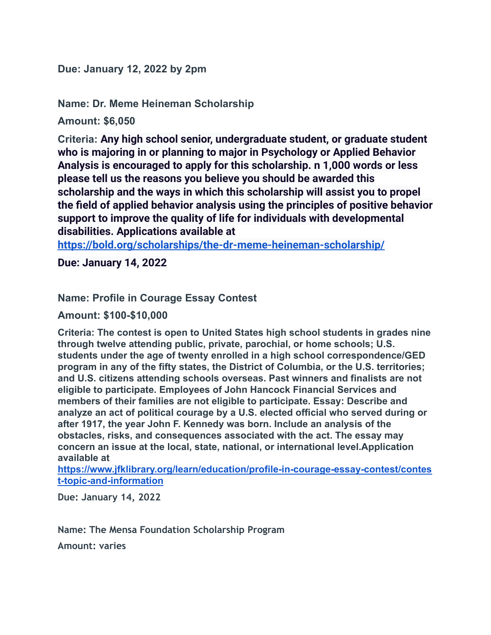**Due: January 12, 2022 by 2pm**

**Name: Dr. Meme Heineman Scholarship**

**Amount: \$6,050**

**Criteria: Any high school senior, undergraduate student, or graduate student who is majoring in or planning to major in Psychology or Applied Behavior Analysis is encouraged to apply for this scholarship. n 1,000 words or less please tell us the reasons you believe you should be awarded this scholarship and the ways in which this scholarship will assist you to propel the field of applied behavior analysis using the principles of positive behavior support to improve the quality of life for individuals with developmental disabilities. Applications available at**

**<https://bold.org/scholarships/the-dr-meme-heineman-scholarship/>**

**Due: January 14, 2022**

**Name: Profile in Courage Essay Contest**

**Amount: \$100-\$10,000**

**Criteria: The contest is open to United States high school students in grades nine through twelve attending public, private, parochial, or home schools; U.S. students under the age of twenty enrolled in a high school correspondence/GED program in any of the fifty states, the District of Columbia, or the U.S. territories; and U.S. citizens attending schools overseas. Past winners and finalists are not eligible to participate. Employees of John Hancock Financial Services and members of their families are not eligible to participate. Essay: Describe and analyze an act of political courage by a U.S. elected official who served during or after 1917, the year John F. Kennedy was born. Include an analysis of the obstacles, risks, and consequences associated with the act. The essay may concern an issue at the local, state, national, or international level.Application available at**

**[https://www.jfklibrary.org/learn/education/profile-in-courage-essay-contest/contes](https://www.jfklibrary.org/learn/education/profile-in-courage-essay-contest/contest-topic-and-information) [t-topic-and-information](https://www.jfklibrary.org/learn/education/profile-in-courage-essay-contest/contest-topic-and-information)**

**Due: January 14, 2022**

**Name: The Mensa Foundation Scholarship Program**

**Amount: varies**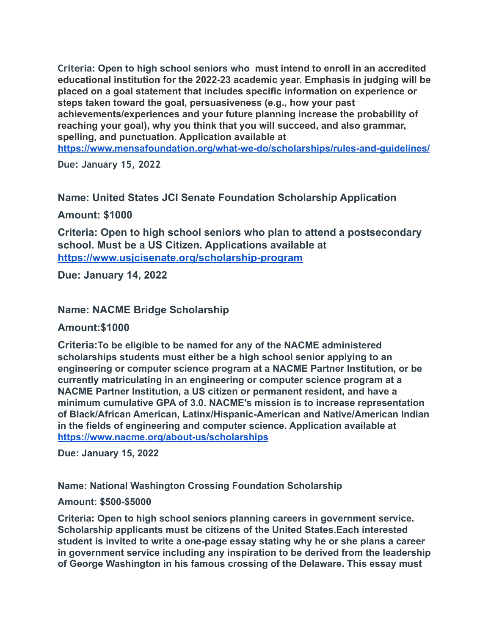**Criteria: Open to high school seniors who must intend to enroll in an accredited educational institution for the 2022-23 academic year. Emphasis in judging will be placed on a goal statement that includes specific information on experience or steps taken toward the goal, persuasiveness (e.g., how your past achievements/experiences and your future planning increase the probability of reaching your goal), why you think that you will succeed, and also grammar, spelling, and punctuation. Application available at <https://www.mensafoundation.org/what-we-do/scholarships/rules-and-guidelines/>**

**Due: January 15, 2022**

**Name: United States JCI Senate Foundation Scholarship Application**

**Amount: \$1000**

**Criteria: Open to high school seniors who plan to attend a postsecondary school. Must be a US Citizen. Applications available at <https://www.usjcisenate.org/scholarship-program>**

**Due: January 14, 2022**

**Name: NACME Bridge Scholarship**

## **Amount:\$1000**

**Criteria:To be eligible to be named for any of the NACME administered scholarships students must either be a high school senior applying to an engineering or computer science program at a NACME Partner Institution, or be currently matriculating in an engineering or computer science program at a NACME Partner Institution, a US citizen or permanent resident, and have a minimum cumulative GPA of 3.0. NACME's mission is to increase representation of Black/African American, Latinx/Hispanic-American and Native/American Indian in the fields of engineering and computer science. Application available at <https://www.nacme.org/about-us/scholarships>**

**Due: January 15, 2022**

**Name: National Washington Crossing Foundation Scholarship**

#### **Amount: \$500-\$5000**

**Criteria: Open to high school seniors planning careers in government service. Scholarship applicants must be citizens of the United States.Each interested student is invited to write a one-page essay stating why he or she plans a career in government service including any inspiration to be derived from the leadership of George Washington in his famous crossing of the Delaware. This essay must**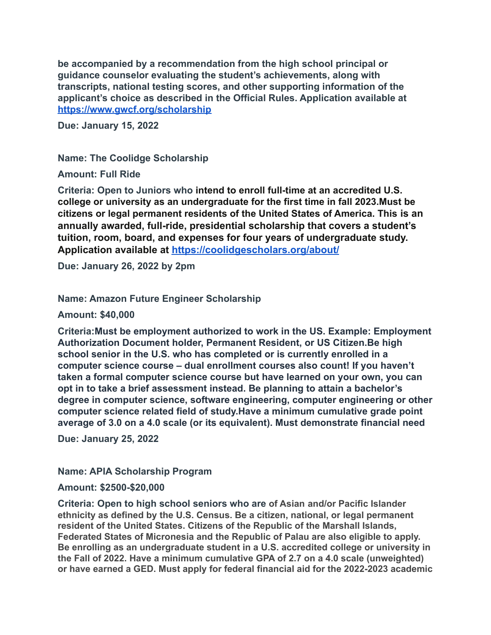**be accompanied by a recommendation from the high school principal or guidance counselor evaluating the student's achievements, along with transcripts, national testing scores, and other supporting information of the applicant's choice as described in the Official Rules. Application available at <https://www.gwcf.org/scholarship>**

**Due: January 15, 2022**

**Name: The Coolidge Scholarship**

**Amount: Full Ride**

**Criteria: Open to Juniors who intend to enroll full-time at an accredited U.S. college or university as an undergraduate for the first time in fall 2023.Must be citizens or legal permanent residents of the United States of America. This is an annually awarded, full-ride, presidential scholarship that covers a student's tuition, room, board, and expenses for four years of undergraduate study. Application available at <https://coolidgescholars.org/about/>**

**Due: January 26, 2022 by 2pm**

**Name: Amazon Future Engineer Scholarship**

**Amount: \$40,000**

**Criteria:Must be employment authorized to work in the US. Example: Employment Authorization Document holder, Permanent Resident, or US Citizen.Be high school senior in the U.S. who has completed or is currently enrolled in a computer science course – dual enrollment courses also count! If you haven't taken a formal computer science course but have learned on your own, you can opt in to take a brief assessment instead. Be planning to attain a bachelor's degree in computer science, software engineering, computer engineering or other computer science related field of study.Have a minimum cumulative grade point average of 3.0 on a 4.0 scale (or its equivalent). Must demonstrate financial need**

**Due: January 25, 2022**

**Name: APIA Scholarship Program**

**Amount: \$2500-\$20,000**

**Criteria: Open to high school seniors who are of Asian and/or Pacific Islander ethnicity as defined by the U.S. Census. Be a citizen, national, or legal permanent resident of the United States. Citizens of the Republic of the Marshall Islands, Federated States of Micronesia and the Republic of Palau are also eligible to apply. Be enrolling as an undergraduate student in a U.S. accredited college or university in the Fall of 2022. Have a minimum cumulative GPA of 2.7 on a 4.0 scale (unweighted) or have earned a GED. Must apply for federal financial aid for the 2022-2023 academic**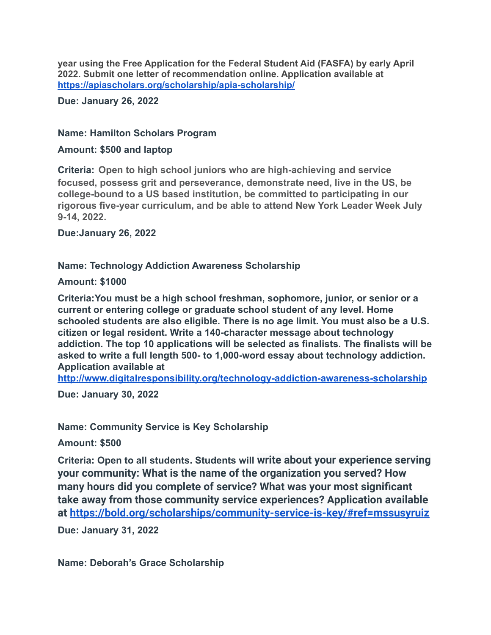**year using the Free Application for the Federal Student Aid (FASFA) by early April 2022. Submit one letter of recommendation online. Application available at <https://apiascholars.org/scholarship/apia-scholarship/>**

**Due: January 26, 2022**

#### **Name: Hamilton Scholars Program**

#### **Amount: \$500 and laptop**

**Criteria: Open to high school juniors who are high-achieving and service focused, possess grit and perseverance, demonstrate need, live in the US, be college-bound to a US based institution, be committed to participating in our rigorous five-year curriculum, and be able to attend New York Leader Week July 9-14, 2022.**

**Due:January 26, 2022**

#### **Name: Technology Addiction Awareness Scholarship**

**Amount: \$1000**

**Criteria:You must be a high school freshman, sophomore, junior, or senior or a current or entering college or graduate school student of any level. Home schooled students are also eligible. There is no age limit. You must also be a U.S. citizen or legal resident. Write a 140-character message about technology addiction. The top 10 applications will be selected as finalists. The finalists will be asked to write a full length 500- to 1,000-word essay about technology addiction. Application available at**

**<http://www.digitalresponsibility.org/technology-addiction-awareness-scholarship>**

**Due: January 30, 2022**

**Name: Community Service is Key Scholarship**

**Amount: \$500**

**Criteria: Open to all students. Students will write about your experience serving your community: What is the name of the organization you served? How many hours did you complete of service? What was your most significant take away from those community service experiences? Application available at <https://bold.org/scholarships/community-service-is-key/#ref=mssusyruiz>**

**Due: January 31, 2022**

**Name: Deborah's Grace Scholarship**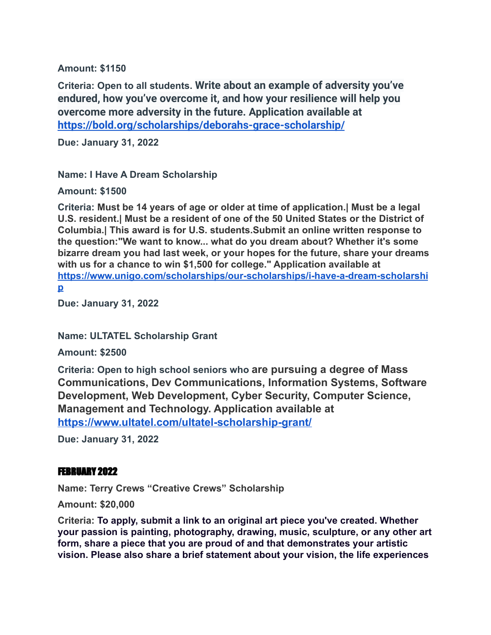**Amount: \$1150**

**Criteria: Open to all students. Write about an example of adversity you've endured, how you've overcome it, and how your resilience will help you overcome more adversity in the future. Application available at <https://bold.org/scholarships/deborahs-grace-scholarship/>**

**Due: January 31, 2022**

**Name: I Have A Dream Scholarship**

**Amount: \$1500**

**Criteria: Must be 14 years of age or older at time of application.| Must be a legal U.S. resident.| Must be a resident of one of the 50 United States or the District of Columbia.| This award is for U.S. students.Submit an online written response to the question:"We want to know... what do you dream about? Whether it's some bizarre dream you had last week, or your hopes for the future, share your dreams with us for a chance to win \$1,500 for college." Application available at [https://www.unigo.com/scholarships/our-scholarships/i-have-a-dream-scholarshi](https://www.unigo.com/scholarships/our-scholarships/i-have-a-dream-scholarship) [p](https://www.unigo.com/scholarships/our-scholarships/i-have-a-dream-scholarship)**

**Due: January 31, 2022**

**Name: ULTATEL Scholarship Grant**

**Amount: \$2500**

**Criteria: Open to high school seniors who are pursuing a degree of Mass Communications, Dev Communications, Information Systems, Software Development, Web Development, Cyber Security, Computer Science, Management and Technology. Application available at <https://www.ultatel.com/ultatel-scholarship-grant/>**

**Due: January 31, 2022**

#### FEBRUARY 2022

**Name: Terry Crews "Creative Crews" Scholarship**

**Amount: \$20,000**

**Criteria: To apply, submit a link to an original art piece you've created. Whether your passion is painting, photography, drawing, music, sculpture, or any other art form, share a piece that you are proud of and that demonstrates your artistic vision. Please also share a brief statement about your vision, the life experiences**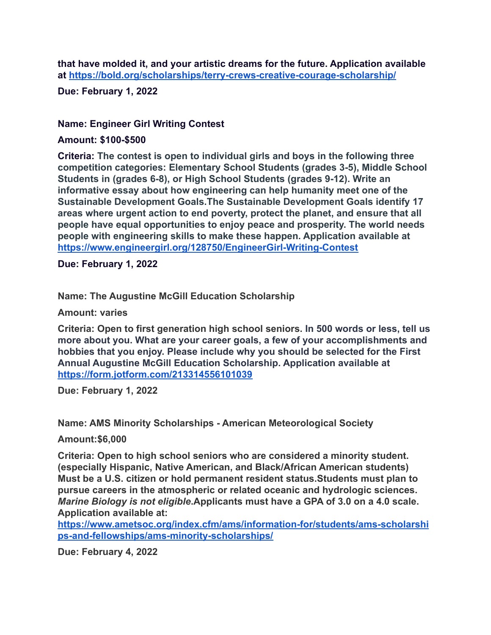**that have molded it, and your artistic dreams for the future. Application available at <https://bold.org/scholarships/terry-crews-creative-courage-scholarship/>**

**Due: February 1, 2022**

### **Name: Engineer Girl Writing Contest**

#### **Amount: \$100-\$500**

**Criteria: The contest is open to individual girls and boys in the following three competition categories: Elementary School Students (grades 3-5), Middle School Students in (grades 6-8), or High School Students (grades 9-12). Write an informative essay about how engineering can help humanity meet one of the Sustainable Development Goals.The Sustainable Development Goals identify 17 areas where urgent action to end poverty, protect the planet, and ensure that all people have equal opportunities to enjoy peace and prosperity. The world needs people with engineering skills to make these happen. Application available at <https://www.engineergirl.org/128750/EngineerGirl-Writing-Contest>**

**Due: February 1, 2022**

**Name: The Augustine McGill Education Scholarship**

**Amount: varies**

**Criteria: Open to first generation high school seniors. In 500 words or less, tell us more about you. What are your career goals, a few of your accomplishments and hobbies that you enjoy. Please include why you should be selected for the First Annual Augustine McGill Education Scholarship. Application available at <https://form.jotform.com/213314556101039>**

**Due: February 1, 2022**

**Name: AMS Minority Scholarships - American Meteorological Society**

**Amount:\$6,000**

**Criteria: Open to high school seniors who are considered a minority student. (especially Hispanic, Native American, and Black/African American students) Must be a U.S. citizen or hold permanent resident status.Students must plan to pursue careers in the atmospheric or related oceanic and hydrologic sciences.** *Marine Biology is not eligible***.Applicants must have a GPA of 3.0 on a 4.0 scale. Application available at:**

**[https://www.ametsoc.org/index.cfm/ams/information-for/students/ams-scholarshi](https://www.ametsoc.org/index.cfm/ams/information-for/students/ams-scholarships-and-fellowships/ams-minority-scholarships/) [ps-and-fellowships/ams-minority-scholarships/](https://www.ametsoc.org/index.cfm/ams/information-for/students/ams-scholarships-and-fellowships/ams-minority-scholarships/)**

**Due: February 4, 2022**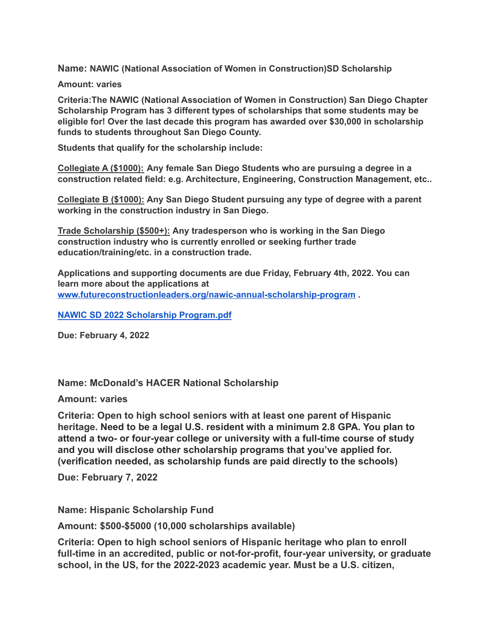**Name: NAWIC (National Association of Women in Construction)SD Scholarship**

#### **Amount: varies**

**Criteria:The NAWIC (National Association of Women in Construction) San Diego Chapter Scholarship Program has 3 different types of scholarships that some students may be eligible for! Over the last decade this program has awarded over \$30,000 in scholarship funds to students throughout San Diego County.**

**Students that qualify for the scholarship include:**

**Collegiate A (\$1000): Any female San Diego Students who are pursuing a degree in a construction related field: e.g. Architecture, Engineering, Construction Management, etc..**

**Collegiate B (\$1000): Any San Diego Student pursuing any type of degree with a parent working in the construction industry in San Diego.**

**Trade Scholarship (\$500+): Any tradesperson who is working in the San Diego construction industry who is currently enrolled or seeking further trade education/training/etc. in a construction trade.**

**Applications and supporting documents are due Friday, February 4th, 2022. You can learn more about the applications at [www.futureconstructionleaders.org/nawic-annual-scholarship-program](https://www.futureconstructionleaders.org/nawic-annual-scholarship-program) .**

**NAWIC SD 2022 Scholarship [Program.pdf](https://jupiterfiles.com/post/v3/p105973917/1/488530642/NAWIC_SD_2022_Scholarship_Program.pdf)**

**Due: February 4, 2022**

#### **Name: McDonald's HACER National Scholarship**

**Amount: varies**

**Criteria: Open to high school seniors with at least one parent of Hispanic heritage. Need to be a legal U.S. resident with a minimum 2.8 GPA. You plan to attend a two- or four-year college or university with a full-time course of study and you will disclose other scholarship programs that you've applied for. (verification needed, as scholarship funds are paid directly to the schools)**

**Due: February 7, 2022**

**Name: Hispanic Scholarship Fund**

**Amount: \$500-\$5000 (10,000 scholarships available)**

**Criteria: Open to high school seniors of Hispanic heritage who plan to enroll full-time in an accredited, public or not-for-profit, four-year university, or graduate school, in the US, for the 2022-2023 academic year. Must be a U.S. citizen,**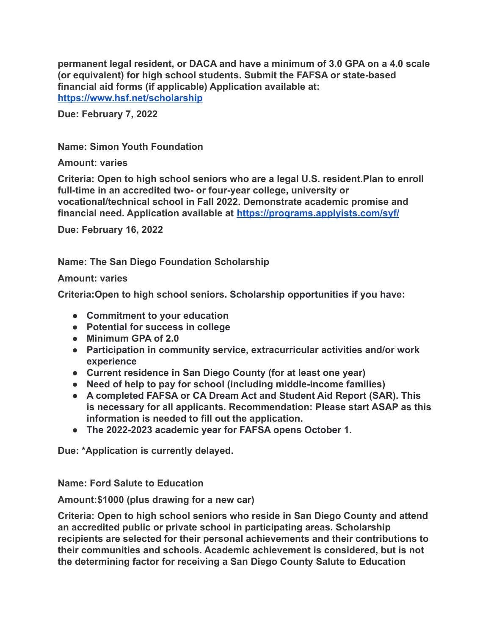**permanent legal resident, or DACA and have a minimum of 3.0 GPA on a 4.0 scale (or equivalent) for high school students. Submit the FAFSA or state-based financial aid forms (if applicable) Application available at: <https://www.hsf.net/scholarship>**

**Due: February 7, 2022**

### **Name: Simon Youth Foundation**

**Amount: varies**

**Criteria: Open to high school seniors who are a legal U.S. resident.Plan to enroll full-time in an accredited two- or four-year college, university or vocational/technical school in Fall 2022. Demonstrate academic promise and financial need. Application available at <https://programs.applyists.com/syf/>**

**Due: February 16, 2022**

**Name: The San Diego Foundation Scholarship**

### **Amount: varies**

**Criteria:Open to high school seniors. Scholarship opportunities if you have:**

- **● Commitment to your education**
- **● Potential for success in college**
- **● Minimum GPA of 2.0**
- **● Participation in community service, extracurricular activities and/or work experience**
- **● Current residence in San Diego County (for at least one year)**
- **● Need of help to pay for school (including middle-income families)**
- **● A completed FAFSA or CA Dream Act and Student Aid Report (SAR). This is necessary for all applicants. Recommendation: Please start ASAP as this information is needed to fill out the application.**
- **● The 2022-2023 academic year for FAFSA opens October 1.**

**Due: \*Application is currently delayed.**

**Name: Ford Salute to Education**

**Amount:\$1000 (plus drawing for a new car)**

**Criteria: Open to high school seniors who reside in San Diego County and attend an accredited public or private school in participating areas. Scholarship recipients are selected for their personal achievements and their contributions to their communities and schools. Academic achievement is considered, but is not the determining factor for receiving a San Diego County Salute to Education**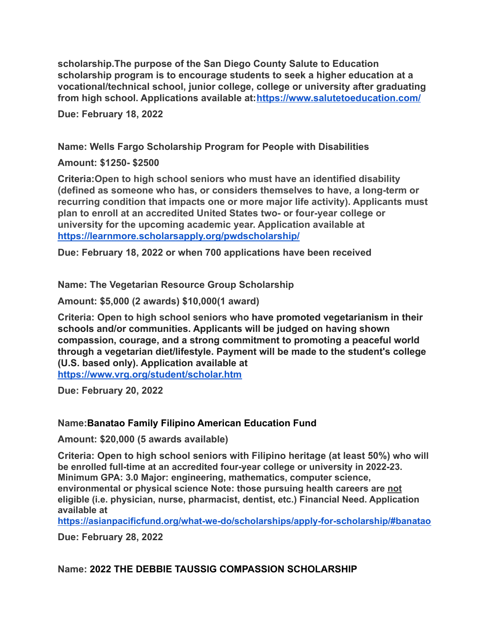**scholarship.The purpose of the San Diego County Salute to Education scholarship program is to encourage students to seek a higher education at a vocational/technical school, junior college, college or university after graduating from high school. Applications available at:<https://www.salutetoeducation.com/>**

**Due: February 18, 2022**

**Name: Wells Fargo Scholarship Program for People with Disabilities**

**Amount: \$1250- \$2500**

**Criteria:Open to high school seniors who must have an identified disability (defined as someone who has, or considers themselves to have, a long-term or recurring condition that impacts one or more major life activity). Applicants must plan to enroll at an accredited United States two- or four-year college or university for the upcoming academic year. Application available at <https://learnmore.scholarsapply.org/pwdscholarship/>**

**Due: February 18, 2022 or when 700 applications have been received**

**Name: The Vegetarian Resource Group Scholarship**

**Amount: \$5,000 (2 awards) \$10,000(1 award)**

**Criteria: Open to high school seniors who have promoted vegetarianism in their schools and/or communities. Applicants will be judged on having shown compassion, courage, and a strong commitment to promoting a peaceful world through a vegetarian diet/lifestyle. Payment will be made to the student's college (U.S. based only). Application available at <https://www.vrg.org/student/scholar.htm>**

**Due: February 20, 2022**

#### **Name:Banatao Family Filipino American Education Fund**

**Amount: \$20,000 (5 awards available)**

**Criteria: Open to high school seniors with Filipino heritage (at least 50%) who will be enrolled full-time at an accredited four-year college or university in 2022-23. Minimum GPA: 3.0 Major: engineering, mathematics, computer science, environmental or physical science Note: those pursuing health careers are not eligible (i.e. physician, nurse, pharmacist, dentist, etc.) Financial Need. Application available at**

**<https://asianpacificfund.org/what-we-do/scholarships/apply-for-scholarship/#banatao>**

**Due: February 28, 2022**

**Name: 2022 THE DEBBIE TAUSSIG COMPASSION SCHOLARSHIP**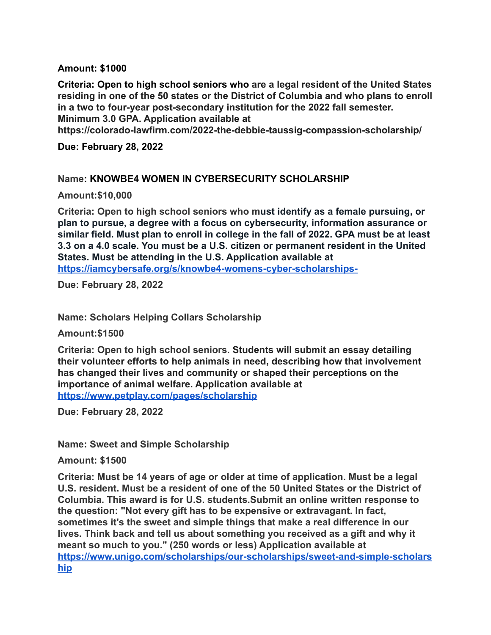### **Amount: \$1000**

**Criteria: Open to high school seniors who are a legal resident of the United States residing in one of the 50 states or the District of Columbia and who plans to enroll in a two to four-year post-secondary institution for the 2022 fall semester. Minimum 3.0 GPA. Application available at**

**https://colorado-lawfirm.com/2022-the-debbie-taussig-compassion-scholarship/**

**Due: February 28, 2022**

#### **Name: KNOWBE4 WOMEN IN CYBERSECURITY SCHOLARSHIP**

**Amount:\$10,000**

**Criteria: Open to high school seniors who must identify as a female pursuing, or plan to pursue, a degree with a focus on cybersecurity, information assurance or similar field. Must plan to enroll in college in the fall of 2022. GPA must be at least 3.3 on a 4.0 scale. You must be a U.S. citizen or permanent resident in the United States. Must be attending in the U.S. Application available at <https://iamcybersafe.org/s/knowbe4-womens-cyber-scholarships->**

**Due: February 28, 2022**

**Name: Scholars Helping Collars Scholarship**

**Amount:\$1500**

**Criteria: Open to high school seniors. Students will submit an essay detailing their volunteer efforts to help animals in need, describing how that involvement has changed their lives and community or shaped their perceptions on the importance of animal welfare. Application available at <https://www.petplay.com/pages/scholarship>**

**Due: February 28, 2022**

**Name: Sweet and Simple Scholarship**

**Amount: \$1500**

**Criteria: Must be 14 years of age or older at time of application. Must be a legal U.S. resident. Must be a resident of one of the 50 United States or the District of Columbia. This award is for U.S. students.Submit an online written response to the question: "Not every gift has to be expensive or extravagant. In fact, sometimes it's the sweet and simple things that make a real difference in our lives. Think back and tell us about something you received as a gift and why it meant so much to you." (250 words or less) Application available at [https://www.unigo.com/scholarships/our-scholarships/sweet-and-simple-scholars](https://www.unigo.com/scholarships/our-scholarships/sweet-and-simple-scholarship) [hip](https://www.unigo.com/scholarships/our-scholarships/sweet-and-simple-scholarship)**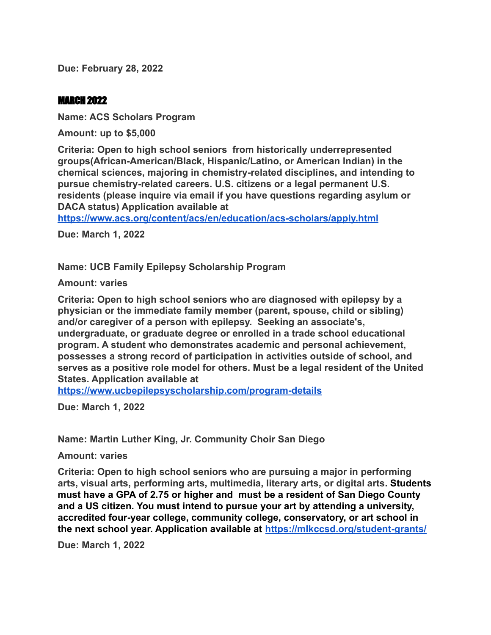**Due: February 28, 2022**

### MARCH 2022

**Name: ACS Scholars Program**

**Amount: up to \$5,000**

**Criteria: Open to high school seniors from historically underrepresented groups(African-American/Black, Hispanic/Latino, or American Indian) in the chemical sciences, majoring in chemistry-related disciplines, and intending to pursue chemistry-related careers. U.S. citizens or a legal permanent U.S. residents (please inquire via email if you have questions regarding asylum or DACA status) Application available at**

**<https://www.acs.org/content/acs/en/education/acs-scholars/apply.html>**

**Due: March 1, 2022**

**Name: UCB Family Epilepsy Scholarship Program**

**Amount: varies**

**Criteria: Open to high school seniors who are diagnosed with epilepsy by a physician or the immediate family member (parent, spouse, child or sibling) and/or caregiver of a person with epilepsy. Seeking an associate's, undergraduate, or graduate degree or enrolled in a trade school educational program. A student who demonstrates academic and personal achievement, possesses a strong record of participation in activities outside of school, and serves as a positive role model for others. Must be a legal resident of the United States. Application available at**

**<https://www.ucbepilepsyscholarship.com/program-details>**

**Due: March 1, 2022**

**Name: Martin Luther King, Jr. Community Choir San Diego**

**Amount: varies**

**Criteria: Open to high school seniors who are pursuing a major in performing arts, visual arts, performing arts, multimedia, literary arts, or digital arts. Students must have a GPA of 2.75 or higher and must be a resident of San Diego County and a US citizen. You must intend to pursue your art by attending a university, accredited four-year college, community college, conservatory, or art school in the next school year. Application available at <https://mlkccsd.org/student-grants/>**

**Due: March 1, 2022**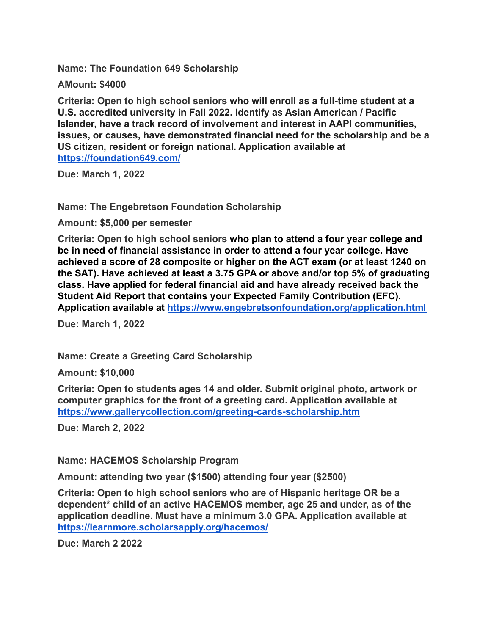**Name: The Foundation 649 Scholarship**

**AMount: \$4000**

**Criteria: Open to high school seniors who will enroll as a full-time student at a U.S. accredited university in Fall 2022. Identify as Asian American / Pacific Islander, have a track record of involvement and interest in AAPI communities, issues, or causes, have demonstrated financial need for the scholarship and be a US citizen, resident or foreign national. Application available at <https://foundation649.com/>**

**Due: March 1, 2022**

**Name: The Engebretson Foundation Scholarship**

**Amount: \$5,000 per semester**

**Criteria: Open to high school seniors who plan to attend a four year college and be in need of financial assistance in order to attend a four year college. Have achieved a score of 28 composite or higher on the ACT exam (or at least 1240 on the SAT). Have achieved at least a 3.75 GPA or above and/or top 5% of graduating class. Have applied for federal financial aid and have already received back the Student Aid Report that contains your Expected Family Contribution (EFC). Application available at <https://www.engebretsonfoundation.org/application.html>**

**Due: March 1, 2022**

**Name: Create a Greeting Card Scholarship**

**Amount: \$10,000**

**Criteria: Open to students ages 14 and older. Submit original photo, artwork or computer graphics for the front of a greeting card. Application available at <https://www.gallerycollection.com/greeting-cards-scholarship.htm>**

**Due: March 2, 2022**

**Name: HACEMOS Scholarship Program**

**Amount: attending two year (\$1500) attending four year (\$2500)**

**Criteria: Open to high school seniors who are of Hispanic heritage OR be a dependent\* child of an active HACEMOS member, age 25 and under, as of the application deadline. Must have a minimum 3.0 GPA. Application available at <https://learnmore.scholarsapply.org/hacemos/>**

**Due: March 2 2022**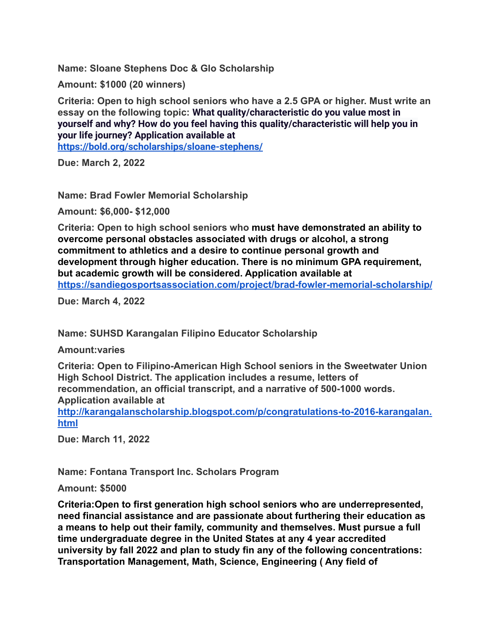**Name: Sloane Stephens Doc & Glo Scholarship**

**Amount: \$1000 (20 winners)**

**Criteria: Open to high school seniors who have a 2.5 GPA or higher. Must write an essay on the following topic: What quality/characteristic do you value most in yourself and why? How do you feel having this quality/characteristic will help you in your life journey? Application available at <https://bold.org/scholarships/sloane-stephens/>**

**Due: March 2, 2022**

**Name: Brad Fowler Memorial Scholarship**

**Amount: \$6,000- \$12,000**

**Criteria: Open to high school seniors who must have demonstrated an ability to overcome personal obstacles associated with drugs or alcohol, a strong commitment to athletics and a desire to continue personal growth and development through higher education. There is no minimum GPA requirement, but academic growth will be considered. Application available at <https://sandiegosportsassociation.com/project/brad-fowler-memorial-scholarship/>**

**Due: March 4, 2022**

**Name: SUHSD Karangalan Filipino Educator Scholarship**

**Amount:varies**

**Criteria: Open to Filipino-American High School seniors in the Sweetwater Union High School District. The application includes a resume, letters of recommendation, an official transcript, and a narrative of 500-1000 words. Application available at**

**[http://karangalanscholarship.blogspot.com/p/congratulations-to-2016-karangalan.](http://karangalanscholarship.blogspot.com/p/congratulations-to-2016-karangalan.html) [html](http://karangalanscholarship.blogspot.com/p/congratulations-to-2016-karangalan.html)**

**Due: March 11, 2022**

**Name: Fontana Transport Inc. Scholars Program**

**Amount: \$5000**

**Criteria:Open to first generation high school seniors who are underrepresented, need financial assistance and are passionate about furthering their education as a means to help out their family, community and themselves. Must pursue a full time undergraduate degree in the United States at any 4 year accredited university by fall 2022 and plan to study fin any of the following concentrations: Transportation Management, Math, Science, Engineering ( Any field of**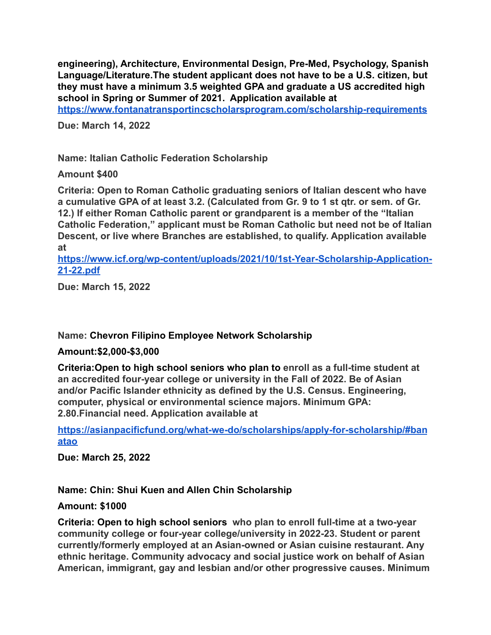**engineering), Architecture, Environmental Design, Pre-Med, Psychology, Spanish Language/Literature.The student applicant does not have to be a U.S. citizen, but they must have a minimum 3.5 weighted GPA and graduate a US accredited high school in Spring or Summer of 2021. Application available at**

**<https://www.fontanatransportincscholarsprogram.com/scholarship-requirements>**

**Due: March 14, 2022**

**Name: Italian Catholic Federation Scholarship**

**Amount \$400**

**Criteria: Open to Roman Catholic graduating seniors of Italian descent who have a cumulative GPA of at least 3.2. (Calculated from Gr. 9 to 1 st qtr. or sem. of Gr. 12.) If either Roman Catholic parent or grandparent is a member of the "Italian Catholic Federation," applicant must be Roman Catholic but need not be of Italian Descent, or live where Branches are established, to qualify. Application available at**

**[https://www.icf.org/wp-content/uploads/2021/10/1st-Year-Scholarship-Application-](https://www.icf.org/wp-content/uploads/2021/10/1st-Year-Scholarship-Application-21-22.pdf)[21-22.pdf](https://www.icf.org/wp-content/uploads/2021/10/1st-Year-Scholarship-Application-21-22.pdf)**

**Due: March 15, 2022**

#### **Name: Chevron Filipino Employee Network Scholarship**

#### **Amount:\$2,000-\$3,000**

**Criteria:Open to high school seniors who plan to enroll as a full-time student at an accredited four-year college or university in the Fall of 2022. Be of Asian and/or Pacific Islander ethnicity as defined by the U.S. Census. Engineering, computer, physical or environmental science majors. Minimum GPA: 2.80.Financial need. Application available at**

**[https://asianpacificfund.org/what-we-do/scholarships/apply-for-scholarship/#ban](https://asianpacificfund.org/what-we-do/scholarships/apply-for-scholarship/#banatao) [atao](https://asianpacificfund.org/what-we-do/scholarships/apply-for-scholarship/#banatao)**

**Due: March 25, 2022**

## **Name: Chin: Shui Kuen and Allen Chin Scholarship**

#### **Amount: \$1000**

**Criteria: Open to high school seniors who plan to enroll full-time at a two-year community college or four-year college/university in 2022-23. Student or parent currently/formerly employed at an Asian-owned or Asian cuisine restaurant. Any ethnic heritage. Community advocacy and social justice work on behalf of Asian American, immigrant, gay and lesbian and/or other progressive causes. Minimum**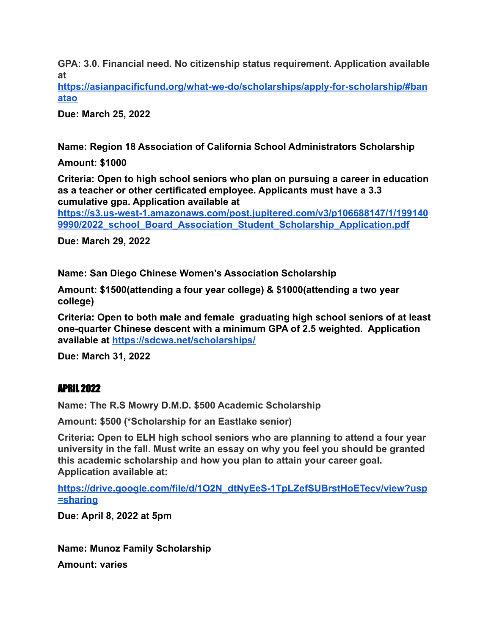**GPA: 3.0. Financial need. No citizenship status requirement. Application available at**

**[https://asianpacificfund.org/what-we-do/scholarships/apply-for-scholarship/#ban](https://asianpacificfund.org/what-we-do/scholarships/apply-for-scholarship/#banatao) [atao](https://asianpacificfund.org/what-we-do/scholarships/apply-for-scholarship/#banatao)**

**Due: March 25, 2022**

**Name: Region 18 Association of California School Administrators Scholarship**

**Amount: \$1000**

**Criteria: Open to high school seniors who plan on pursuing a career in education as a teacher or other certificated employee. Applicants must have a 3.3 cumulative gpa. Application available at**

**[https://s3.us-west-1.amazonaws.com/post.jupitered.com/v3/p106688147/1/199140](https://s3.us-west-1.amazonaws.com/post.jupitered.com/v3/p106688147/1/1991409990/2022_school_Board_Association_Student_Scholarship_Application.pdf) [9990/2022\\_school\\_Board\\_Association\\_Student\\_Scholarship\\_Application.pdf](https://s3.us-west-1.amazonaws.com/post.jupitered.com/v3/p106688147/1/1991409990/2022_school_Board_Association_Student_Scholarship_Application.pdf)**

**Due: March 29, 2022**

**Name: San Diego Chinese Women's Association Scholarship**

**Amount: \$1500(attending a four year college) & \$1000(attending a two year college)**

**Criteria: Open to both male and female graduating high school seniors of at least one-quarter Chinese descent with a minimum GPA of 2.5 weighted. Application available at <https://sdcwa.net/scholarships/>**

**Due: March 31, 2022**

## APRIL 2022

**Name: The R.S Mowry D.M.D. \$500 Academic Scholarship**

**Amount: \$500 (\*Scholarship for an Eastlake senior)**

**Criteria: Open to ELH high school seniors who are planning to attend a four year university in the fall. Must write an essay on why you feel you should be granted this academic scholarship and how you plan to attain your career goal. Application available at:**

**[https://drive.google.com/file/d/1O2N\\_dtNyEeS-1TpLZefSUBrstHoETecv/view?usp](https://drive.google.com/file/d/1O2N_dtNyEeS-1TpLZefSUBrstHoETecv/view?usp=sharing) [=sharing](https://drive.google.com/file/d/1O2N_dtNyEeS-1TpLZefSUBrstHoETecv/view?usp=sharing)**

**Due: April 8, 2022 at 5pm**

**Name: Munoz Family Scholarship**

**Amount: varies**